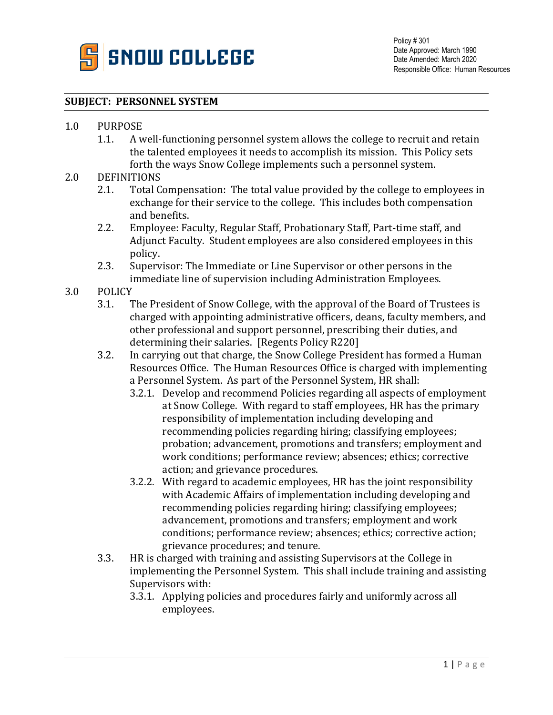

## **SUBJECT: PERSONNEL SYSTEM**

- 1.0 PURPOSE<br>1.1. A v
	- A well-functioning personnel system allows the college to recruit and retain the talented employees it needs to accomplish its mission. This Policy sets forth the ways Snow College implements such a personnel system.

## 2.0 DEFINITIONS<br>2.1. Total C

- 2.1. Total Compensation: The total value provided by the college to employees in exchange for their service to the college. This includes both compensation and benefits.
- 2.2. Employee: Faculty, Regular Staff, Probationary Staff, Part-time staff, and Adjunct Faculty. Student employees are also considered employees in this policy.
- 2.3. Supervisor: The Immediate or Line Supervisor or other persons in the immediate line of supervision including Administration Employees.
- 3.0 POLICY<br>3.1. 7
	- 3.1. The President of Snow College, with the approval of the Board of Trustees is charged with appointing administrative officers, deans, faculty members, and other professional and support personnel, prescribing their duties, and determining their salaries. [Regents Policy R220]
	- 3.2. In carrying out that charge, the Snow College President has formed a Human Resources Office. The Human Resources Office is charged with implementing a Personnel System. As part of the Personnel System, HR shall:
		- 3.2.1. Develop and recommend Policies regarding all aspects of employment at Snow College. With regard to staff employees, HR has the primary responsibility of implementation including developing and recommending policies regarding hiring; classifying employees; probation; advancement, promotions and transfers; employment and work conditions; performance review; absences; ethics; corrective action; and grievance procedures.
		- 3.2.2. With regard to academic employees, HR has the joint responsibility with Academic Affairs of implementation including developing and recommending policies regarding hiring; classifying employees; advancement, promotions and transfers; employment and work conditions; performance review; absences; ethics; corrective action; grievance procedures; and tenure.
	- 3.3. HR is charged with training and assisting Supervisors at the College in implementing the Personnel System. This shall include training and assisting Supervisors with:
		- 3.3.1. Applying policies and procedures fairly and uniformly across all employees.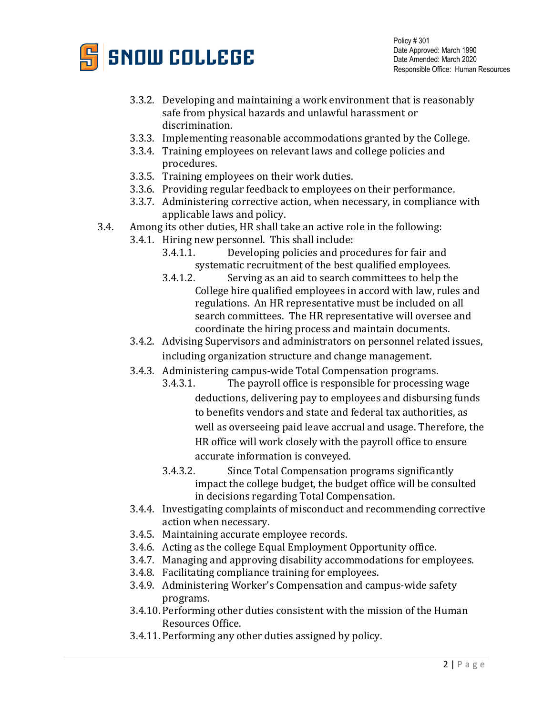

Policy # 301 Date Approved: March 1990 Date Amended: March 2020 Responsible Office: Human Resources

- 3.3.2. Developing and maintaining a work environment that is reasonably safe from physical hazards and unlawful harassment or discrimination.
- 3.3.3. Implementing reasonable accommodations granted by the College.
- 3.3.4. Training employees on relevant laws and college policies and procedures.
- 3.3.5. Training employees on their work duties.
- 3.3.6. Providing regular feedback to employees on their performance.
- 3.3.7. Administering corrective action, when necessary, in compliance with applicable laws and policy.
- 3.4. Among its other duties, HR shall take an active role in the following:
	- 3.4.1. Hiring new personnel. This shall include:<br>3.4.1.1. Developing policies and pro
		- Developing policies and procedures for fair and systematic recruitment of the best qualified employees.<br>3.4.1.2. Serving as an aid to search committees to help th
		- Serving as an aid to search committees to help the College hire qualified employees in accord with law, rules and regulations. An HR representative must be included on all search committees. The HR representative will oversee and coordinate the hiring process and maintain documents.
	- 3.4.2. Advising Supervisors and administrators on personnel related issues, including organization structure and change management.
	- 3.4.3. Administering campus-wide Total Compensation programs.<br>3.4.3.1. The pavroll office is responsible for processing
		- The payroll office is responsible for processing wage deductions, delivering pay to employees and disbursing funds to benefits vendors and state and federal tax authorities, as well as overseeing paid leave accrual and usage. Therefore, the HR office will work closely with the payroll office to ensure accurate information is conveyed.
			- 3.4.3.2. Since Total Compensation programs significantly impact the college budget, the budget office will be consulted in decisions regarding Total Compensation.
	- 3.4.4. Investigating complaints of misconduct and recommending corrective action when necessary.
	- 3.4.5. Maintaining accurate employee records.
	- 3.4.6. Acting as the college Equal Employment Opportunity office.
	- 3.4.7. Managing and approving disability accommodations for employees.
	- 3.4.8. Facilitating compliance training for employees.
	- 3.4.9. Administering Worker's Compensation and campus-wide safety programs.
	- 3.4.10. Performing other duties consistent with the mission of the Human Resources Office.
	- 3.4.11. Performing any other duties assigned by policy.